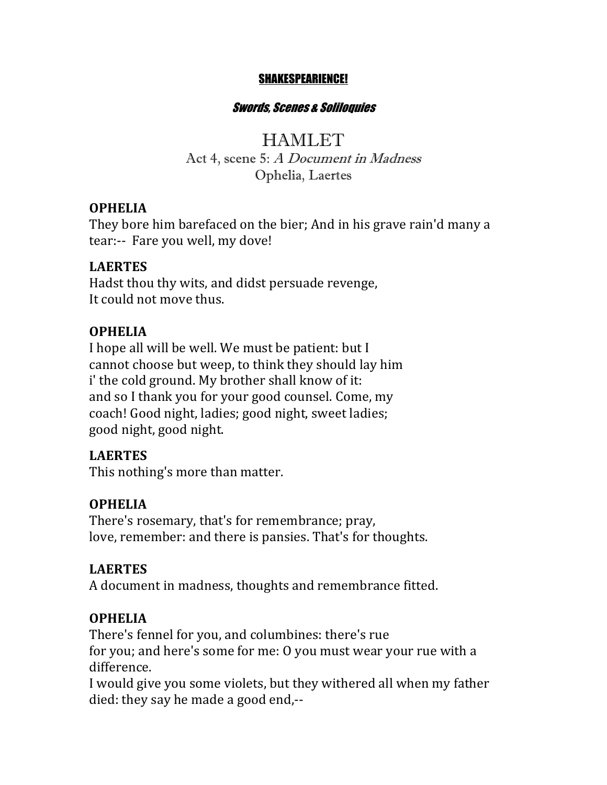#### SHAKESPEARIENCE!

#### Swords, Scenes & Soliloquies

**HAMLET** Act 4, scene 5: A Document in Madness Ophelia, Laertes

#### **OPHELIA**

They bore him barefaced on the bier; And in his grave rain'd many a tear:-- Fare you well, my dove!

#### **LAERTES**

Hadst thou thy wits, and didst persuade revenge, It could not move thus.

#### **OPHELIA**

I hope all will be well. We must be patient: but I cannot choose but weep, to think they should lay him i' the cold ground. My brother shall know of it: and so I thank you for your good counsel. Come, my coach! Good night, ladies; good night, sweet ladies; good night, good night.

### **LAERTES**

This nothing's more than matter.

### **OPHELIA**

There's rosemary, that's for remembrance; pray, love, remember: and there is pansies. That's for thoughts.

### **LAERTES**

A document in madness, thoughts and remembrance fitted.

### **OPHELIA**

There's fennel for you, and columbines: there's rue for you; and here's some for me: O you must wear your rue with a difference. 

I would give you some violets, but they withered all when my father died: they say he made a good end, $-$